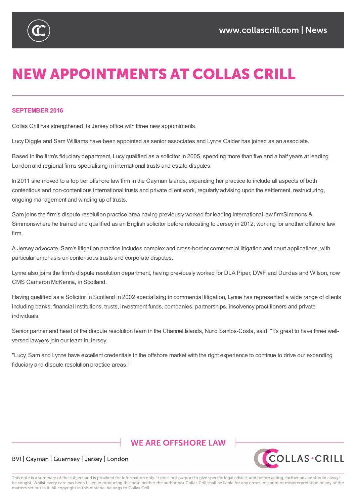

# **NEW APPOINTMENTS AT COLLAS CRILL**

#### **SEPTEMBER 2016**

Collas Crill has strengthened its Jersey office with three new appointments.

Lucy Diggle and Sam Williams have been appointed as senior associates and Lynne Calder has joined as an associate.

Based in the firm's fiduciary department, Lucy qualified as a solicitor in 2005, spending more than five and a half years at leading London and regional firms specialising in international trusts and estate disputes.

In 2011 she moved to a top tier offshore law firm in the Cayman Islands, expanding her practice to include all aspects of both contentious and non-contentious international trusts and private client work, regularly advising upon the settlement, restructuring, ongoing management and winding up of trusts.

Sam joins the firm's dispute resolution practice area having previously worked for leading international law firmSimmons & Simmonswhere he trained and qualified as an English solicitor before relocating to Jersey in 2012, working for another offshore law firm.

A Jersey advocate, Sam's litigation practice includes complex and cross-border commercial litigation and court applications, with particular emphasis on contentious trusts and corporate disputes.

Lynne also joins the firm's dispute resolution department, having previously worked for DLA Piper, DWF and Dundas and Wilson, now CMS Cameron McKenna, in Scotland.

Having qualified as a Solicitor in Scotland in 2002 specialising in commercial litigation, Lynne has represented a wide range of clients including banks, financial institutions, trusts, investment funds, companies, partnerships, insolvency practitioners and private individuals.

Senior partner and head of the dispute resolution team in the Channel Islands, Nuno Santos-Costa, said: "It's great to have three wellversed lawyers join our team in Jersey.

"Lucy, Sam and Lynne have excellent credentials in the offshore market with the right experience to continue to drive our expanding fiduciary and dispute resolution practice areas."

# **WE ARE OFFSHORE I AW**



#### BVI | Cayman | Guernsey | Jersey | London

This note is a summary of the subject and is provided for information only. It does not purport to give specific legal advice, and before acting, further advice should always be sought. Whilst every care has been taken in producing this note neither the author nor Collas Crill shall be liable for any errors, misprint or misinterpretation of any of the matters set out in it. All copyright in this material belongs to Collas Crill.